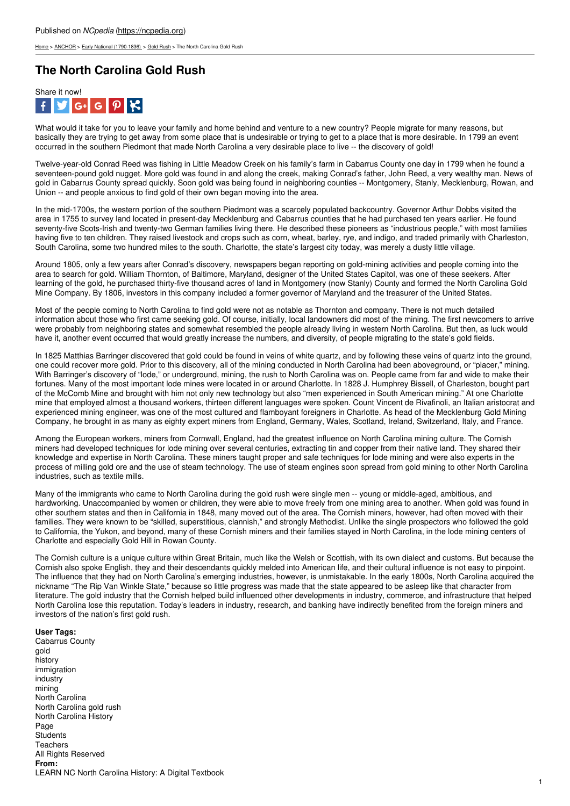[Home](https://ncpedia.org/) > [ANCHOR](https://ncpedia.org/anchor/anchor) > Early National [\(1790-1836\)](https://ncpedia.org/anchor/early-national-1790-1836) > Gold [Rush](https://ncpedia.org/anchor/gold-rush) > The North Carolina Gold Rush

## **The North Carolina Gold Rush**



What would it take for you to leave your family and home behind and venture to a new country? People migrate for many reasons, but basically they are trying to get away from some place that is undesirable or trying to get to a place that is more desirable. In 1799 an event occurred in the southern Piedmont that made North Carolina a very desirable place to live -- the discovery of gold!

Twelve-year-old Conrad Reed was fishing in Little Meadow Creek on his family's farm in Cabarrus County one day in 1799 when he found a seventeen-pound gold nugget. More gold was found in and along the creek, making Conrad's father, John Reed, a very wealthy man. News of gold in Cabarrus County spread quickly. Soon gold was being found in neighboring counties -- Montgomery, Stanly, Mecklenburg, Rowan, and Union -- and people anxious to find gold of their own began moving into the area.

In the mid-1700s, the western portion of the southern Piedmont was a scarcely populated backcountry. Governor Arthur Dobbs visited the area in 1755 to survey land located in [present-day](http://www.social9.com) Mecklenburg and Cabarrus counties that he had purchased ten years earlier. He found seventy-five Scots-Irish and twenty-two German families living there. He described these pioneers as "industrious people," with most families having five to ten children. They raised livestock and crops such as corn, wheat, barley, rye, and indigo, and traded primarily with Charleston, South Carolina, some two hundred miles to the south. Charlotte, the state's largest city today, was merely a dusty little village.

Around 1805, only a few years after Conrad's discovery, newspapers began reporting on gold-mining activities and people coming into the area to search for gold. William Thornton, of Baltimore, Maryland, designer of the United States Capitol, was one of these seekers. After learning of the gold, he purchased thirty-five thousand acres of land in Montgomery (now Stanly) County and formed the North Carolina Gold Mine Company. By 1806, investors in this company included a former governor of Maryland and the treasurer of the United States.

Most of the people coming to North Carolina to find gold were not as notable as Thornton and company. There is not much detailed information about those who first came seeking gold. Of course, initially, local landowners did most of the mining. The first newcomers to arrive were probably from neighboring states and somewhat resembled the people already living in western North Carolina. But then, as luck would have it, another event occurred that would greatly increase the numbers, and diversity, of people migrating to the state's gold fields.

In 1825 Matthias Barringer discovered that gold could be found in veins of white quartz, and by following these veins of quartz into the ground, one could recover more gold. Prior to this discovery, all of the mining conducted in North Carolina had been aboveground, or "placer," mining. With Barringer's discovery of "lode," or underground, mining, the rush to North Carolina was on. People came from far and wide to make their fortunes. Many of the most important lode mines were located in or around Charlotte. In 1828 J. Humphrey Bissell, of Charleston, bought part of the McComb Mine and brought with him not only new technology but also "men experienced in South American mining." At one Charlotte mine that employed almost a thousand workers, thirteen different languages were spoken. Count Vincent de Rivafinoli, an Italian aristocrat and experienced mining engineer, was one of the most cultured and flamboyant foreigners in Charlotte. As head of the Mecklenburg Gold Mining Company, he brought in as many as eighty expert miners from England, Germany, Wales, Scotland, Ireland, Switzerland, Italy, and France.

Among the European workers, miners from Cornwall, England, had the greatest influence on North Carolina mining culture. The Cornish miners had developed techniques for lode mining over several centuries, extracting tin and copper from their native land. They shared their knowledge and expertise in North Carolina. These miners taught proper and safe techniques for lode mining and were also experts in the process of milling gold ore and the use of steam technology. The use of steam engines soon spread from gold mining to other North Carolina industries, such as textile mills.

Many of the immigrants who came to North Carolina during the gold rush were single men -- young or middle-aged, ambitious, and hardworking. Unaccompanied by women or children, they were able to move freely from one mining area to another. When gold was found in other southern states and then in California in 1848, many moved out of the area. The Cornish miners, however, had often moved with their families. They were known to be "skilled, superstitious, clannish," and strongly Methodist. Unlike the single prospectors who followed the gold to California, the Yukon, and beyond, many of these Cornish miners and their families stayed in North Carolina, in the lode mining centers of Charlotte and especially Gold Hill in Rowan County.

The Cornish culture is a unique culture within Great Britain, much like the Welsh or Scottish, with its own dialect and customs. But because the Cornish also spoke English, they and their descendants quickly melded into American life, and their cultural influence is not easy to pinpoint. The influence that they had on North Carolina's emerging industries, however, is unmistakable. In the early 1800s, North Carolina acquired the nickname "The Rip Van Winkle State," because so little progress was made that the state appeared to be asleep like that character from literature. The gold industry that the Cornish helped build influenced other developments in industry, commerce, and infrastructure that helped North Carolina lose this reputation. Today's leaders in industry, research, and banking have indirectly benefited from the foreign miners and investors of the nation's first gold rush.

## **User Tags:**

Cabarrus County gold history immigration industry mining North Carolina North Carolina gold rush North Carolina History Page **Students Teachers** All Rights Reserved **From:** LEARN NC North Carolina History: A Digital Textbook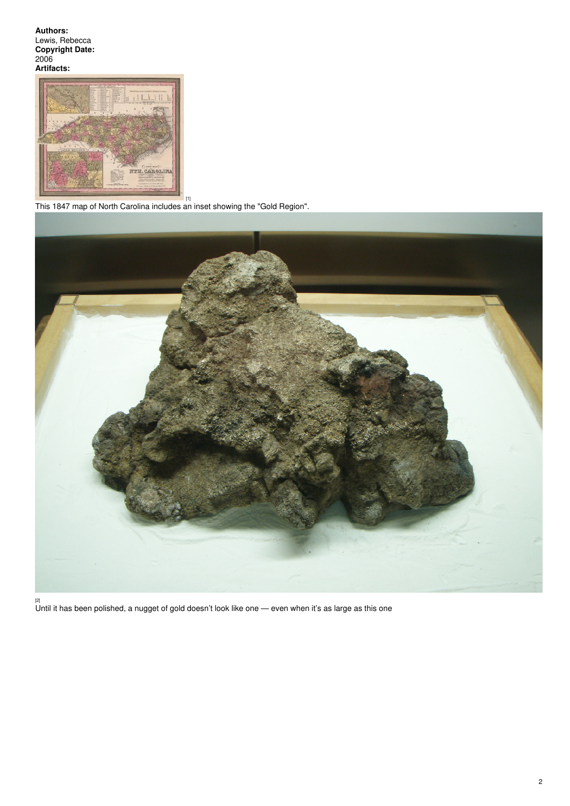**Authors:** Lewis, Rebecca **Copyright Date:** 2006 **Artifacts:**



[1] This 1847 map of North Carolina includes an inset showing the "Gold Region".



[2] Until it has been polished, a nugget of gold doesn't look like one — even when it's as large as this one